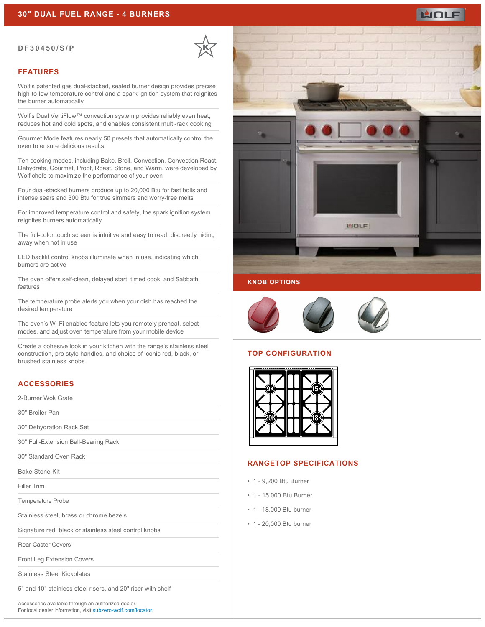#### **DF30450/S/P**



### **FEATURES**

Wolf's patented gas dual-stacked, sealed burner design provides precise high-to-low temperature control and a spark ignition system that reignites the burner automatically

Wolf's Dual VertiFlow™ convection system provides reliably even heat, reduces hot and cold spots, and enables consistent multi-rack cooking

Gourmet Mode features nearly 50 presets that automatically control the oven to ensure delicious results

Ten cooking modes, including Bake, Broil, Convection, Convection Roast, Dehydrate, Gourmet, Proof, Roast, Stone, and Warm, were developed by Wolf chefs to maximize the performance of your oven

Four dual-stacked burners produce up to 20,000 Btu for fast boils and intense sears and 300 Btu for true simmers and worry-free melts

For improved temperature control and safety, the spark ignition system reignites burners automatically

The full-color touch screen is intuitive and easy to read, discreetly hiding away when not in use

LED backlit control knobs illuminate when in use, indicating which burners are active

The oven offers self-clean, delayed start, timed cook, and Sabbath features

The temperature probe alerts you when your dish has reached the desired temperature

The oven's Wi-Fi enabled feature lets you remotely preheat, select modes, and adjust oven temperature from your mobile device

Create a cohesive look in your kitchen with the range's stainless steel construction, pro style handles, and choice of iconic red, black, or brushed stainless knobs

# **ACCESSORIES**

2-Burner Wok Grate

30" Broiler Pan

30" Dehydration Rack Set

30" Full-Extension Ball-Bearing Rack

30" Standard Oven Rack

Bake Stone Kit

Filler Trim

Temperature Probe

Stainless steel, brass or chrome bezels

Signature red, black or stainless steel control knobs

Rear Caster Covers

Front Leg Extension Covers

Stainless Steel Kickplates

5" and 10" stainless steel risers, and 20" riser with shelf

Accessories available through an authorized dealer. For local dealer information, visit [subzero-wolf.com/locator.](http://www.subzero-wolf.com/locator)



MOLF



#### **TOP CONFIGURATION**



### **RANGETOP SPECIFICATIONS**

- 1 9,200 Btu Burner
- 1 15,000 Btu Burner
- 1 18,000 Btu burner
- 1 20,000 Btu burner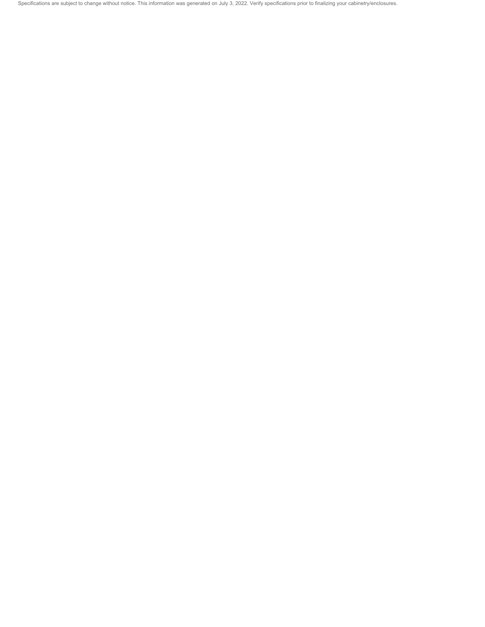Specifications are subject to change without notice. This information was generated on July 3, 2022. Verify specifications prior to finalizing your cabinetry/enclosures.